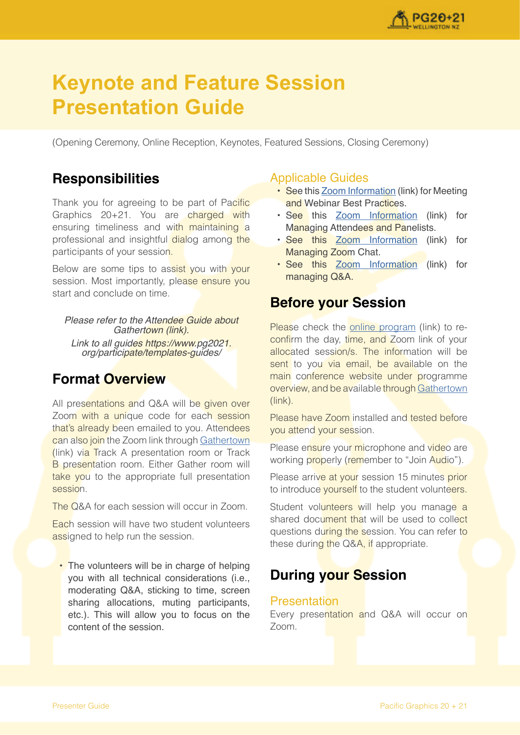

# **Keynote and Feature Session Presentation Guide**

(Opening Ceremony, Online Reception, Keynotes, Featured Sessions, Closing Ceremony)

#### **Responsibilities**

Thank you for agreeing to be part of Pacific Graphics 20+21. You are charged with ensuring timeliness and with maintaining a professional and insightful dialog among the participants of your session.

Below are some tips to assist you with your session. Most importantly, please ensure you start and conclude on time.

Please refer to the Attendee Guide about Gathertown (link). Link to all guides https://www.pg2021. org/participate/templates-guides/

### **Format Overview**

All presentations and Q&A will be given over Zoom with a unique code for each session that's already been emailed to you. Attendees can also join the Zoom link through [Gathertown](https://gather.town/app/GEJPI5vneJ2DLgqn/Pacific%20Graphics%202021) (link) via Track A presentation room or Track **B** presentation room. Either Gather room will take you to the appropriate full presentation session.

The Q&A for each session will occur in Zoom.

Each session will have two student volunteers assigned to help run the session.

• The volunteers will be in charge of helping you with all technical considerations (i.e., moderating Q&A, sticking to time, screen sharing allocations, muting participants, etc.). This will allow you to focus on the content of the session.

#### Applicable Guides

- See this [Zoom Information](https://support.zoom.us/hc/en-us/articles/209743263-Meeting-and-Webinar-Best-Practices-and-Resources) (link) for Meeting and Webinar Best Practices.
- See this [Zoom Information](https://support.zoom.us/hc/en-us/articles/115004834466-Managing-Participants-in-Webinar) (link) for Managing Attendees and Panelists.
- See this [Zoom Information](https://support.zoom.us/hc/en-us/articles/203650445-In-meeting-chat) (link) for Managing Zoom Chat.
- See this [Zoom Information](https://support.zoom.us/hc/en-us/articles/203686015-Getting-Started-with-Question-Answer) (link) for managing Q&A.

### **Before your Session**

Please check the [online program](https://www.pg2021.org/programme/overview/) (link) to reconfirm the day, time, and Zoom link of your allocated session/s. The information will be sent to you via email, be available on the main conference website under programme overview, and be available through [Gathertown](https://gather.town/app/GEJPI5vneJ2DLgqn/Pacific%20Graphics%202021) (link).

Please have Zoom installed and tested before you attend your session.

Please ensure your microphone and video are working properly (remember to "Join Audio").

Please arrive at your session 15 minutes prior to introduce yourself to the student volunteers.

Student volunteers will help you manage a shared document that will be used to collect questions during the session. You can refer to these during the Q&A, if appropriate.

## **During your Session**

#### **Presentation**

Every presentation and Q&A will occur on Zoom.